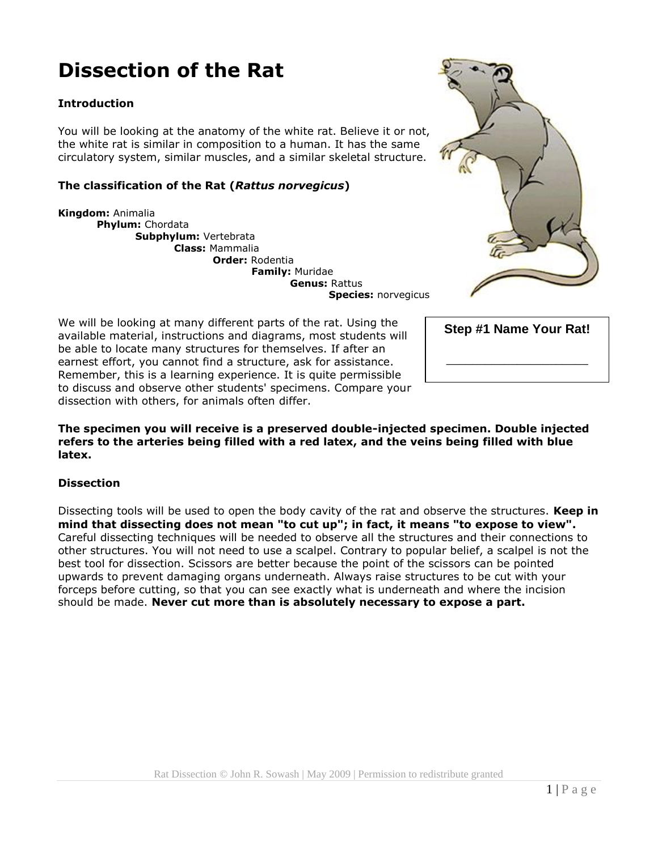# **Dissection of the Rat**

#### **Introduction**

You will be looking at the anatomy of the white rat. Believe it or not, the white rat is similar in composition to a human. It has the same circulatory system, similar muscles, and a similar skeletal structure.

#### **The classification of the Rat (***Rattus norvegicus***)**

**Kingdom:** Animalia **Phylum:** Chordata **Subphylum:** Vertebrata **Class:** Mammalia **Order:** Rodentia **Family:** Muridae **Genus:** Rattus **Species:** norvegicus

We will be looking at many different parts of the rat. Using the available material, instructions and diagrams, most students will be able to locate many structures for themselves. If after an earnest effort, you cannot find a structure, ask for assistance. Remember, this is a learning experience. It is quite permissible to discuss and observe other students' specimens. Compare your dissection with others, for animals often differ.

**The specimen you will receive is a preserved double-injected specimen. Double injected refers to the arteries being filled with a red latex, and the veins being filled with blue latex.** 

#### **Dissection**

Dissecting tools will be used to open the body cavity of the rat and observe the structures. **Keep in mind that dissecting does not mean "to cut up"; in fact, it means "to expose to view".** Careful dissecting techniques will be needed to observe all the structures and their connections to other structures. You will not need to use a scalpel. Contrary to popular belief, a scalpel is not the best tool for dissection. Scissors are better because the point of the scissors can be pointed upwards to prevent damaging organs underneath. Always raise structures to be cut with your forceps before cutting, so that you can see exactly what is underneath and where the incision should be made. **Never cut more than is absolutely necessary to expose a part.** 



| Step #1 Name Your Rat! |
|------------------------|
|                        |
|                        |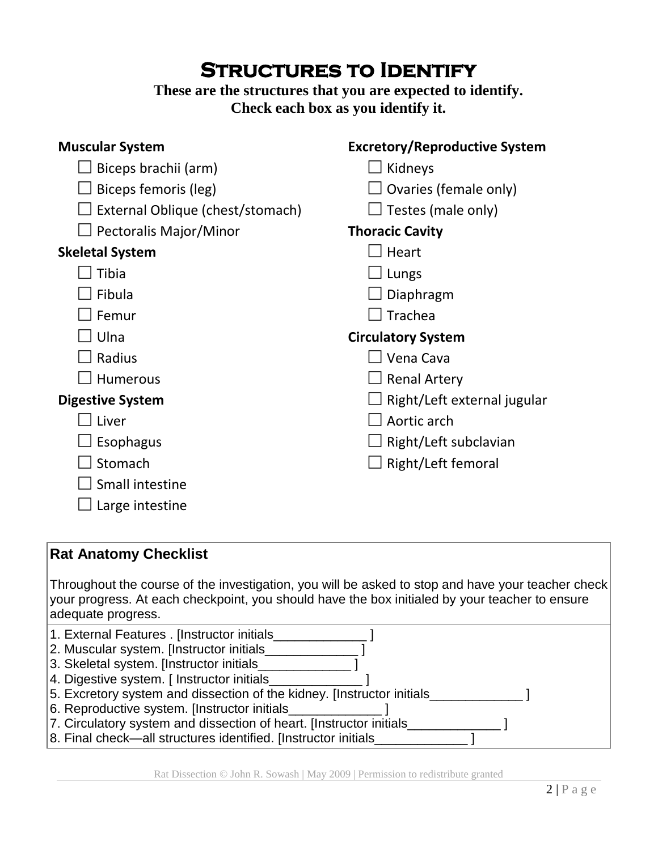# **STRUCTURES TO IDENTIFY**

### **These are the structures that you are expected to identify. Check each box as you identify it.**

| <b>Excretory/Reproductive System</b>                                                                                                                                                                |
|-----------------------------------------------------------------------------------------------------------------------------------------------------------------------------------------------------|
|                                                                                                                                                                                                     |
| Kidneys                                                                                                                                                                                             |
| Ovaries (female only)                                                                                                                                                                               |
| Testes (male only)                                                                                                                                                                                  |
| <b>Thoracic Cavity</b>                                                                                                                                                                              |
| Heart                                                                                                                                                                                               |
| Lungs                                                                                                                                                                                               |
| Diaphragm                                                                                                                                                                                           |
| Trachea                                                                                                                                                                                             |
| <b>Circulatory System</b>                                                                                                                                                                           |
| $\Box$ Vena Cava                                                                                                                                                                                    |
| <b>Renal Artery</b>                                                                                                                                                                                 |
| Right/Left external jugular                                                                                                                                                                         |
| Aortic arch                                                                                                                                                                                         |
| Right/Left subclavian                                                                                                                                                                               |
| Right/Left femoral                                                                                                                                                                                  |
|                                                                                                                                                                                                     |
|                                                                                                                                                                                                     |
|                                                                                                                                                                                                     |
|                                                                                                                                                                                                     |
|                                                                                                                                                                                                     |
| Throughout the course of the investigation, you will be asked to stop and have your teacher check<br>your progress. At each checkpoint, you should have the box initialed by your teacher to ensure |
| 2. Muscular system. [Instructor initials<br>5. Excretory system and dissection of the kidney. [Instructor initials_<br>7. Circulatory system and dissection of heart. [Instructor initials          |
|                                                                                                                                                                                                     |

8. Final check—all structures identified. [Instructor initials\_\_\_\_\_\_\_\_\_\_\_\_\_\_\_]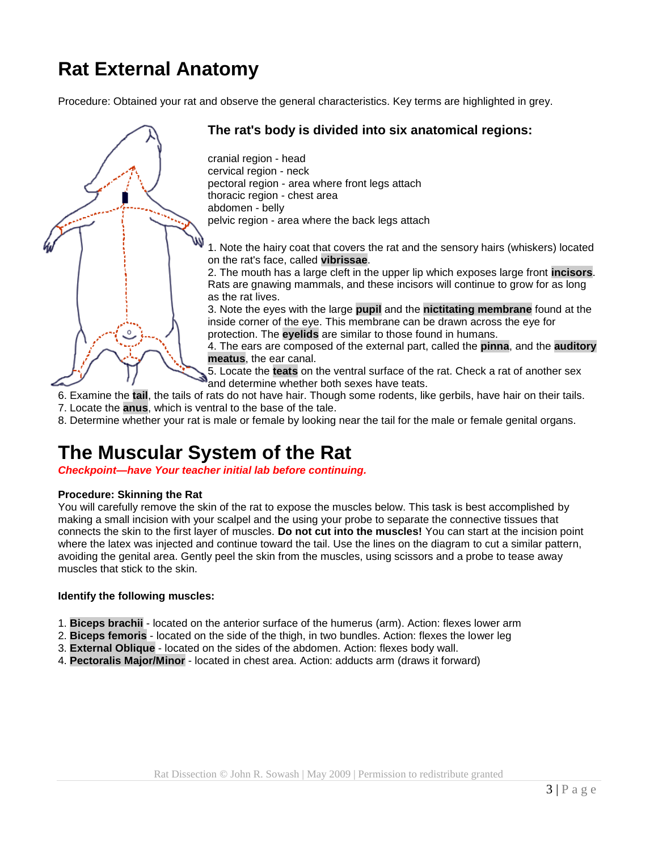# **Rat External Anatomy**

Procedure: Obtained your rat and observe the general characteristics. Key terms are highlighted in grey.



#### **The rat's body is divided into six anatomical regions:**

cranial region - head cervical region - neck pectoral region - area where front legs attach thoracic region - chest area abdomen - belly pelvic region - area where the back legs attach

1. Note the hairy coat that covers the rat and the sensory hairs (whiskers) located on the rat's face, called **vibrissae**.

2. The mouth has a large cleft in the upper lip which exposes large front **incisors**. Rats are gnawing mammals, and these incisors will continue to grow for as long as the rat lives.

3. Note the eyes with the large **pupil** and the **nictitating membrane** found at the inside corner of the eye. This membrane can be drawn across the eye for protection. The **eyelids** are similar to those found in humans.

4. The ears are composed of the external part, called the **pinna**, and the **auditory meatus**, the ear canal.

5. Locate the **teats** on the ventral surface of the rat. Check a rat of another sex and determine whether both sexes have teats.

- 6. Examine the **tail**, the tails of rats do not have hair. Though some rodents, like gerbils, have hair on their tails.
- 7. Locate the **anus**, which is ventral to the base of the tale.
- 8. Determine whether your rat is male or female by looking near the tail for the male or female genital organs.

## **The Muscular System of the Rat**

*Checkpoint—have Your teacher initial lab before continuing.* 

#### **Procedure: Skinning the Rat**

You will carefully remove the skin of the rat to expose the muscles below. This task is best accomplished by making a small incision with your scalpel and the using your probe to separate the connective tissues that connects the skin to the first layer of muscles. **Do not cut into the muscles!** You can start at the incision point where the latex was injected and continue toward the tail. Use the lines on the diagram to cut a similar pattern, avoiding the genital area. Gently peel the skin from the muscles, using scissors and a probe to tease away muscles that stick to the skin.

#### **Identify the following muscles:**

- 1. **Biceps brachii** located on the anterior surface of the humerus (arm). Action: flexes lower arm
- 2. **Biceps femoris** located on the side of the thigh, in two bundles. Action: flexes the lower leg
- 3. **External Oblique** located on the sides of the abdomen. Action: flexes body wall.
- 4. **Pectoralis Major/Minor** located in chest area. Action: adducts arm (draws it forward)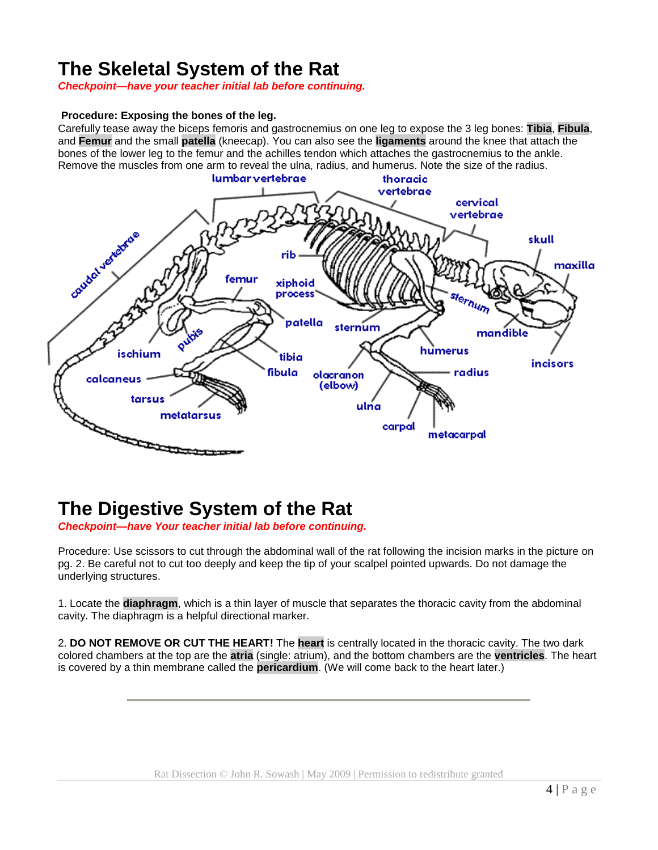## **The Skeletal System of the Rat**

*Checkpoint—have your teacher initial lab before continuing.* 

#### **Procedure: Exposing the bones of the leg.**

Carefully tease away the biceps femoris and gastrocnemius on one leg to expose the 3 leg bones: **Tibia**, **Fibula**, and **Femur** and the small **patella** (kneecap). You can also see the **ligaments** around the knee that attach the bones of the lower leg to the femur and the achilles tendon which attaches the gastrocnemius to the ankle. Remove the muscles from one arm to reveal the ulna, radius, and humerus. Note the size of the radius.



# **The Digestive System of the Rat**

*Checkpoint—have Your teacher initial lab before continuing.*

Procedure: Use scissors to cut through the abdominal wall of the rat following the incision marks in the picture on pg. 2. Be careful not to cut too deeply and keep the tip of your scalpel pointed upwards. Do not damage the underlying structures.

1. Locate the **diaphragm**, which is a thin layer of muscle that separates the thoracic cavity from the abdominal cavity. The diaphragm is a helpful directional marker.

2. **DO NOT REMOVE OR CUT THE HEART!** The **heart** is centrally located in the thoracic cavity. The two dark colored chambers at the top are the **atria** (single: atrium), and the bottom chambers are the **ventricles**. The heart is covered by a thin membrane called the **pericardium**. (We will come back to the heart later.)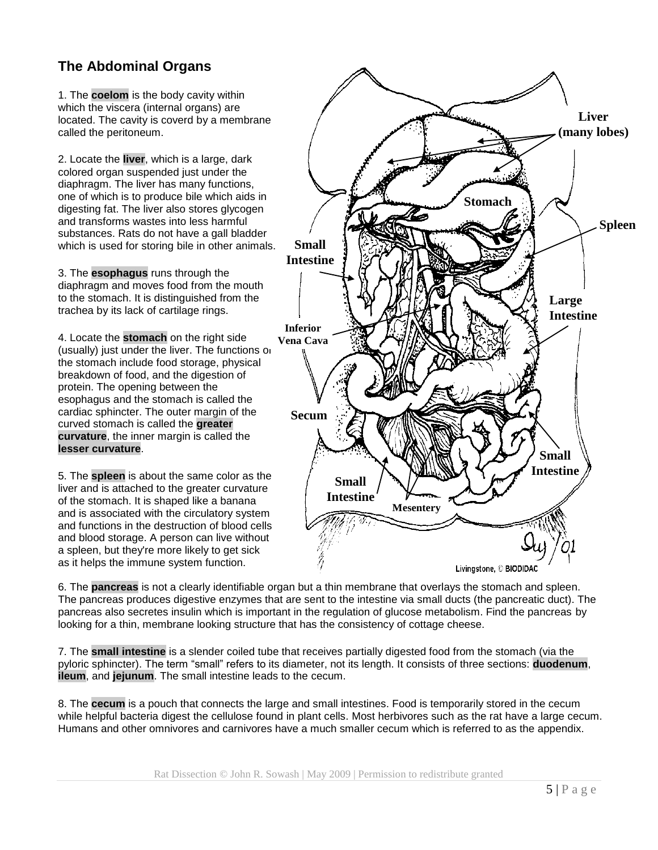### **The Abdominal Organs**

1. The **coelom** is the body cavity within which the viscera (internal organs) are located. The cavity is coverd by a membrane called the peritoneum.

2. Locate the **liver**, which is a large, dark colored organ suspended just under the diaphragm. The liver has many functions, one of which is to produce bile which aids in digesting fat. The liver also stores glycogen and transforms wastes into less harmful substances. Rats do not have a gall bladder which is used for storing bile in other animals.

3. The **esophagus** runs through the diaphragm and moves food from the mouth to the stomach. It is distinguished from the trachea by its lack of cartilage rings.

4. Locate the **stomach** on the right side (usually) just under the liver. The functions or the stomach include food storage, physical breakdown of food, and the digestion of protein. The opening between the esophagus and the stomach is called the cardiac sphincter. The outer margin of the curved stomach is called the **greater curvature**, the inner margin is called the **lesser curvature**.

5. The **spleen** is about the same color as the liver and is attached to the greater curvature of the stomach. It is shaped like a banana and is associated with the circulatory system and functions in the destruction of blood cells and blood storage. A person can live without a spleen, but they're more likely to get sick as it helps the immune system function.



6. The **pancreas** is not a clearly identifiable organ but a thin membrane that overlays the stomach and spleen. The pancreas produces digestive enzymes that are sent to the intestine via small ducts (the pancreatic duct). The pancreas also secretes insulin which is important in the regulation of glucose metabolism. Find the pancreas by looking for a thin, membrane looking structure that has the consistency of cottage cheese.

7. The **small intestine** is a slender coiled tube that receives partially digested food from the stomach (via the pyloric sphincter). The term "small" refers to its diameter, not its length. It consists of three sections: **duodenum**, **ileum**, and **jejunum**. The small intestine leads to the cecum.

8. The **cecum** is a pouch that connects the large and small intestines. Food is temporarily stored in the cecum while helpful bacteria digest the cellulose found in plant cells. Most herbivores such as the rat have a large cecum. Humans and other omnivores and carnivores have a much smaller cecum which is referred to as the appendix.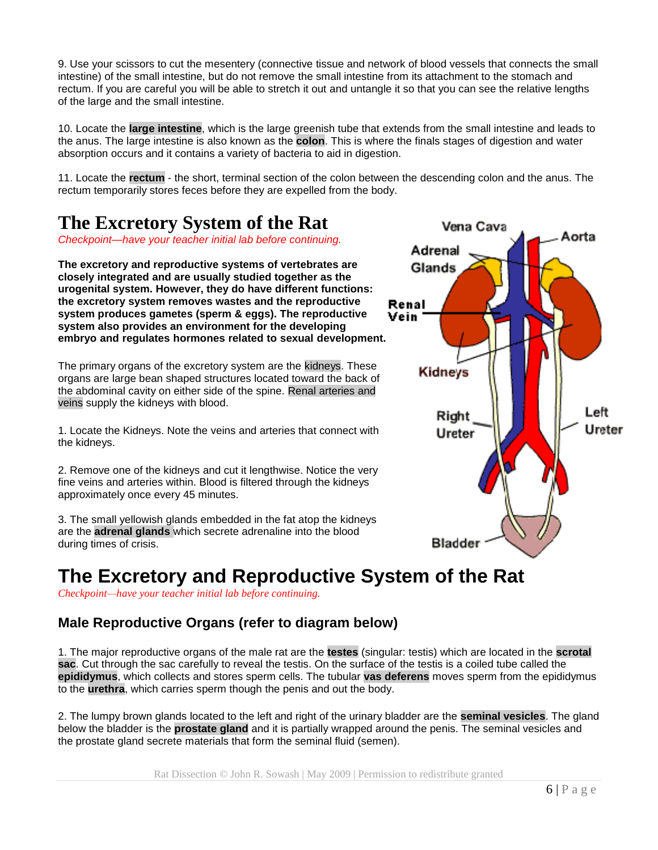9. Use your scissors to cut the mesentery (connective tissue and network of blood vessels that connects the small intestine) of the small intestine, but do not remove the small intestine from its attachment to the stomach and rectum. If you are careful you will be able to stretch it out and untangle it so that you can see the relative lengths of the large and the small intestine.

10. Locate the **large intestine**, which is the large greenish tube that extends from the small intestine and leads to the anus. The large intestine is also known as the **colon**. This is where the finals stages of digestion and water absorption occurs and it contains a variety of bacteria to aid in digestion.

11. Locate the **rectum** - the short, terminal section of the colon between the descending colon and the anus. The rectum temporarily stores feces before they are expelled from the body.

## **The Excretory System of the Rat**

*Checkpoint—have your teacher initial lab before continuing.*

**The excretory and reproductive systems of vertebrates are closely integrated and are usually studied together as the urogenital system. However, they do have different functions: the excretory system removes wastes and the reproductive system produces gametes (sperm & eggs). The reproductive system also provides an environment for the developing embryo and regulates hormones related to sexual development.** 

The primary organs of the excretory system are the kidneys. These organs are large bean shaped structures located toward the back of the abdominal cavity on either side of the spine. Renal arteries and veins supply the kidneys with blood.

1. Locate the Kidneys. Note the veins and arteries that connect with the kidneys.

2. Remove one of the kidneys and cut it lengthwise. Notice the very fine veins and arteries within. Blood is filtered through the kidneys approximately once every 45 minutes.

3. The small yellowish glands embedded in the fat atop the kidneys are the **adrenal glands** which secrete adrenaline into the blood during times of crisis.

# **The Excretory and Reproductive System of the Rat**

*Checkpoint—have your teacher initial lab before continuing.*

### **Male Reproductive Organs (refer to diagram below)**

1. The major reproductive organs of the male rat are the **testes** (singular: testis) which are located in the **scrotal sac**. Cut through the sac carefully to reveal the testis. On the surface of the testis is a coiled tube called the **epididymus**, which collects and stores sperm cells. The tubular **vas deferens** moves sperm from the epididymus to the **urethra**, which carries sperm though the penis and out the body.

2. The lumpy brown glands located to the left and right of the urinary bladder are the **seminal vesicles**. The gland below the bladder is the **prostate gland** and it is partially wrapped around the penis. The seminal vesicles and the prostate gland secrete materials that form the seminal fluid (semen).

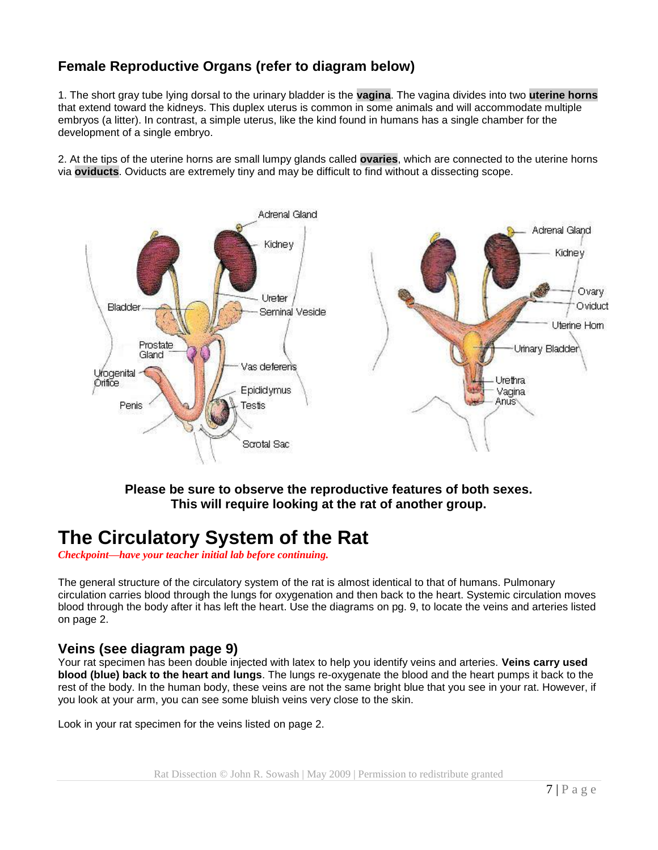### **Female Reproductive Organs (refer to diagram below)**

1. The short gray tube lying dorsal to the urinary bladder is the **vagina**. The vagina divides into two **uterine horns** that extend toward the kidneys. This duplex uterus is common in some animals and will accommodate multiple embryos (a litter). In contrast, a simple uterus, like the kind found in humans has a single chamber for the development of a single embryo.

2. At the tips of the uterine horns are small lumpy glands called **ovaries**, which are connected to the uterine horns via **oviducts**. Oviducts are extremely tiny and may be difficult to find without a dissecting scope.



#### **Please be sure to observe the reproductive features of both sexes. This will require looking at the rat of another group.**

## **The Circulatory System of the Rat**

*Checkpoint—have your teacher initial lab before continuing.*

The general structure of the circulatory system of the rat is almost identical to that of humans. Pulmonary circulation carries blood through the lungs for oxygenation and then back to the heart. Systemic circulation moves blood through the body after it has left the heart. Use the diagrams on pg. 9, to locate the veins and arteries listed on page 2.

#### **Veins (see diagram page 9)**

Your rat specimen has been double injected with latex to help you identify veins and arteries. **Veins carry used blood (blue) back to the heart and lungs**. The lungs re-oxygenate the blood and the heart pumps it back to the rest of the body. In the human body, these veins are not the same bright blue that you see in your rat. However, if you look at your arm, you can see some bluish veins very close to the skin.

Look in your rat specimen for the veins listed on page 2.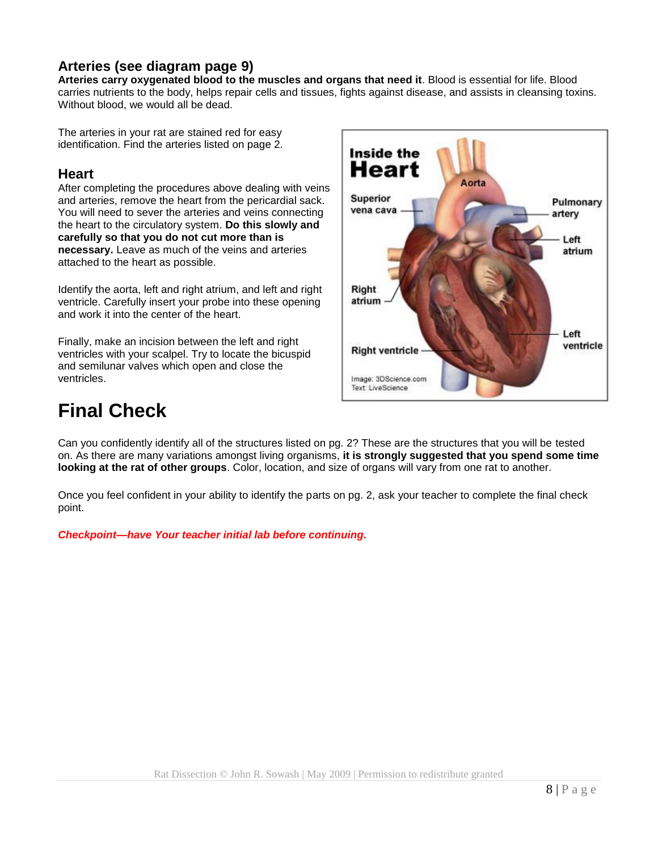### **Arteries (see diagram page 9)**

**Arteries carry oxygenated blood to the muscles and organs that need it**. Blood is essential for life. Blood carries nutrients to the body, helps repair cells and tissues, fights against disease, and assists in cleansing toxins. Without blood, we would all be dead.

The arteries in your rat are stained red for easy identification. Find the arteries listed on page 2.

#### **Heart**

After completing the procedures above dealing with veins and arteries, remove the heart from the pericardial sack. You will need to sever the arteries and veins connecting the heart to the circulatory system. **Do this slowly and carefully so that you do not cut more than is necessary.** Leave as much of the veins and arteries attached to the heart as possible.

Identify the aorta, left and right atrium, and left and right ventricle. Carefully insert your probe into these opening and work it into the center of the heart.

Finally, make an incision between the left and right ventricles with your scalpel. Try to locate the bicuspid and semilunar valves which open and close the ventricles.



# **Final Check**

Can you confidently identify all of the structures listed on pg. 2? These are the structures that you will be tested on. As there are many variations amongst living organisms, **it is strongly suggested that you spend some time looking at the rat of other groups**. Color, location, and size of organs will vary from one rat to another.

Once you feel confident in your ability to identify the parts on pg. 2, ask your teacher to complete the final check point.

*Checkpoint—have Your teacher initial lab before continuing.*